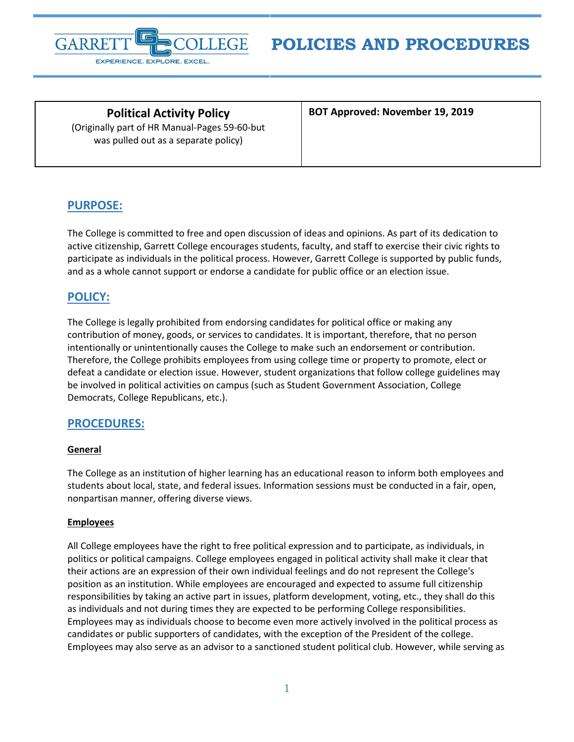

**POLICIES AND PROCEDURES**

**Political Activity Policy** (Originally part of HR Manual-Pages 59-60-but was pulled out as a separate policy)

**BOT Approved: November 19, 2019**

# **PURPOSE:**

The College is committed to free and open discussion of ideas and opinions. As part of its dedication to active citizenship, Garrett College encourages students, faculty, and staff to exercise their civic rights to participate as individuals in the political process. However, Garrett College is supported by public funds, and as a whole cannot support or endorse a candidate for public office or an election issue.

## **POLICY:**

The College is legally prohibited from endorsing candidates for political office or making any contribution of money, goods, or services to candidates. It is important, therefore, that no person intentionally or unintentionally causes the College to make such an endorsement or contribution. Therefore, the College prohibits employees from using college time or property to promote, elect or defeat a candidate or election issue. However, student organizations that follow college guidelines may be involved in political activities on campus (such as Student Government Association, College Democrats, College Republicans, etc.).

## **PROCEDURES:**

#### **General**

The College as an institution of higher learning has an educational reason to inform both employees and students about local, state, and federal issues. Information sessions must be conducted in a fair, open, nonpartisan manner, offering diverse views.

#### **Employees**

All College employees have the right to free political expression and to participate, as individuals, in politics or political campaigns. College employees engaged in political activity shall make it clear that their actions are an expression of their own individual feelings and do not represent the College's position as an institution. While employees are encouraged and expected to assume full citizenship responsibilities by taking an active part in issues, platform development, voting, etc., they shall do this as individuals and not during times they are expected to be performing College responsibilities. Employees may as individuals choose to become even more actively involved in the political process as candidates or public supporters of candidates, with the exception of the President of the college. Employees may also serve as an advisor to a sanctioned student political club. However, while serving as